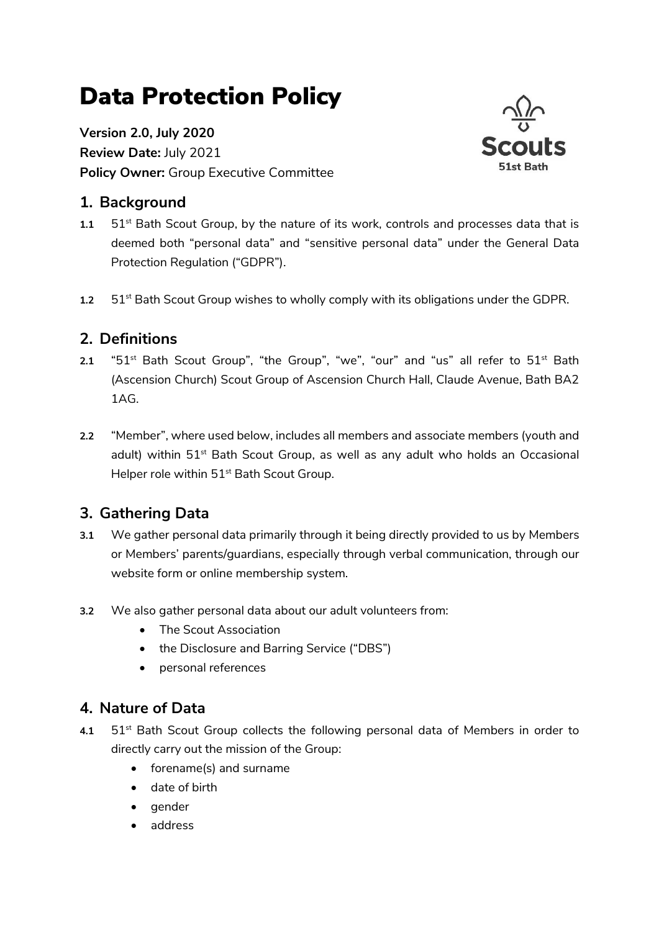# Data Protection Policy

**Version 2.0, July 2020 Review Date:** July 2021 **Policy Owner:** Group Executive Committee



## **1. Background**

- 1.1 51<sup>st</sup> Bath Scout Group, by the nature of its work, controls and processes data that is deemed both "personal data" and "sensitive personal data" under the General Data Protection Regulation ("GDPR").
- 1.2 51<sup>st</sup> Bath Scout Group wishes to wholly comply with its obligations under the GDPR.

# **2. Definitions**

- 2.1 "51<sup>st</sup> Bath Scout Group", "the Group", "we", "our" and "us" all refer to 51<sup>st</sup> Bath (Ascension Church) Scout Group of Ascension Church Hall, Claude Avenue, Bath BA2 1AG.
- **2.2** "Member", where used below, includes all members and associate members (youth and adult) within 51<sup>st</sup> Bath Scout Group, as well as any adult who holds an Occasional Helper role within 51<sup>st</sup> Bath Scout Group.

# **3. Gathering Data**

- **3.1** We gather personal data primarily through it being directly provided to us by Members or Members' parents/guardians, especially through verbal communication, through our website form or online membership system.
- **3.2** We also gather personal data about our adult volunteers from:
	- The Scout Association
	- the Disclosure and Barring Service ("DBS")
	- personal references

## **4. Nature of Data**

- 4.1 51<sup>st</sup> Bath Scout Group collects the following personal data of Members in order to directly carry out the mission of the Group:
	- forename(s) and surname
	- date of birth
	- gender
	- address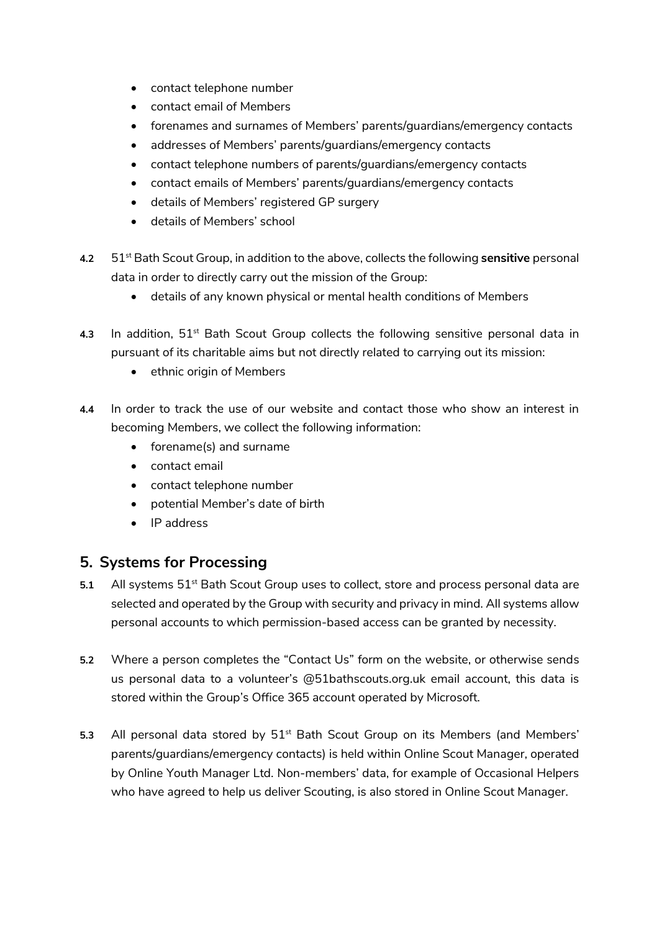- contact telephone number
- contact email of Members
- forenames and surnames of Members' parents/guardians/emergency contacts
- addresses of Members' parents/guardians/emergency contacts
- contact telephone numbers of parents/guardians/emergency contacts
- contact emails of Members' parents/guardians/emergency contacts
- details of Members' registered GP surgery
- details of Members' school
- **4.2** 51st Bath Scout Group, in addition to the above, collects the following **sensitive** personal data in order to directly carry out the mission of the Group:
	- details of any known physical or mental health conditions of Members
- 4.3 In addition, 51<sup>st</sup> Bath Scout Group collects the following sensitive personal data in pursuant of its charitable aims but not directly related to carrying out its mission:
	- ethnic origin of Members
- **4.4** In order to track the use of our website and contact those who show an interest in becoming Members, we collect the following information:
	- forename(s) and surname
	- contact email
	- contact telephone number
	- potential Member's date of birth
	- IP address

## **5. Systems for Processing**

- 5.1 All systems 51<sup>st</sup> Bath Scout Group uses to collect, store and process personal data are selected and operated by the Group with security and privacy in mind. All systems allow personal accounts to which permission-based access can be granted by necessity.
- **5.2** Where a person completes the "Contact Us" form on the website, or otherwise sends us personal data to a volunteer's @51bathscouts.org.uk email account, this data is stored within the Group's Office 365 account operated by Microsoft.
- **5.3** All personal data stored by 51<sup>st</sup> Bath Scout Group on its Members (and Members' parents/guardians/emergency contacts) is held within Online Scout Manager, operated by Online Youth Manager Ltd. Non-members' data, for example of Occasional Helpers who have agreed to help us deliver Scouting, is also stored in Online Scout Manager.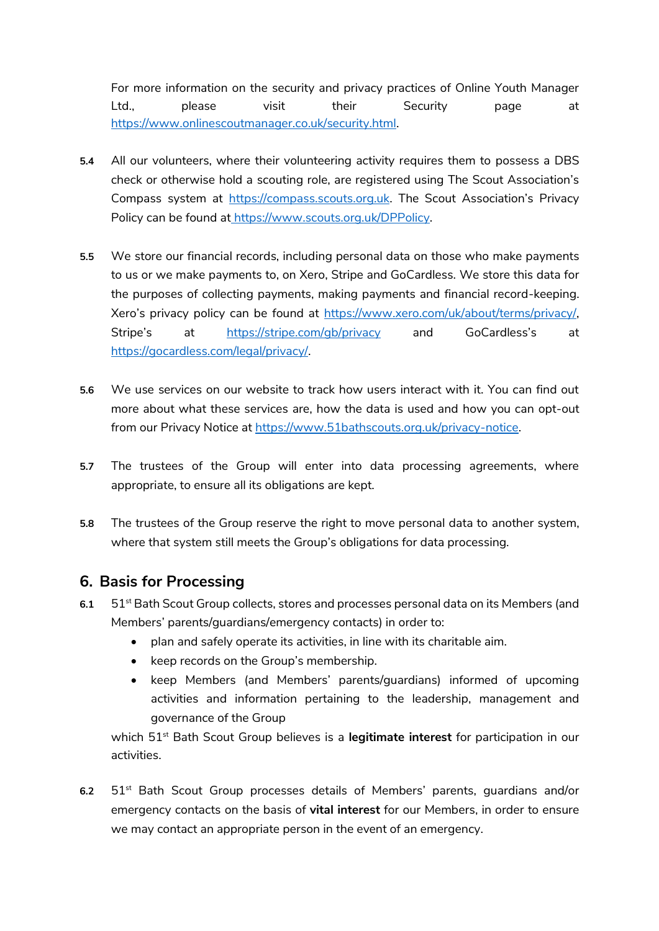For more information on the security and privacy practices of Online Youth Manager Ltd., please visit their Security page at [https://www.onlinescoutmanager.co.uk/security.html.](https://www.onlinescoutmanager.co.uk/security.html)

- **5.4** All our volunteers, where their volunteering activity requires them to possess a DBS check or otherwise hold a scouting role, are registered using The Scout Association's Compass system at [https://compass.scouts.org.uk](https://compass.scouts.org.uk/). The Scout Association's Privacy Policy can be found at [https://www.scouts.org.uk/DPPolicy.](https://www.scouts.org.uk/DPPolicy)
- **5.5** We store our financial records, including personal data on those who make payments to us or we make payments to, on Xero, Stripe and GoCardless. We store this data for the purposes of collecting payments, making payments and financial record-keeping. Xero's privacy policy can be found at [https://www.xero.com/uk/about/terms/privacy/,](https://www.xero.com/uk/about/terms/privacy/) Stripe's at <https://stripe.com/gb/privacy> and GoCardless's at [https://gocardless.com/legal/privacy/.](https://gocardless.com/legal/privacy/)
- **5.6** We use services on our website to track how users interact with it. You can find out more about what these services are, how the data is used and how you can opt-out from our Privacy Notice at [https://www.51bathscouts.org.uk/privacy-notice.](https://www.51bathscouts.org.uk/privacy-notice)
- **5.7** The trustees of the Group will enter into data processing agreements, where appropriate, to ensure all its obligations are kept.
- **5.8** The trustees of the Group reserve the right to move personal data to another system, where that system still meets the Group's obligations for data processing.

## **6. Basis for Processing**

- **6.1** 51<sup>st</sup> Bath Scout Group collects, stores and processes personal data on its Members (and Members' parents/guardians/emergency contacts) in order to:
	- plan and safely operate its activities, in line with its charitable aim.
	- keep records on the Group's membership.
	- keep Members (and Members' parents/guardians) informed of upcoming activities and information pertaining to the leadership, management and governance of the Group

which 51<sup>st</sup> Bath Scout Group believes is a **legitimate interest** for participation in our activities.

**6.2** 51st Bath Scout Group processes details of Members' parents, guardians and/or emergency contacts on the basis of **vital interest** for our Members, in order to ensure we may contact an appropriate person in the event of an emergency.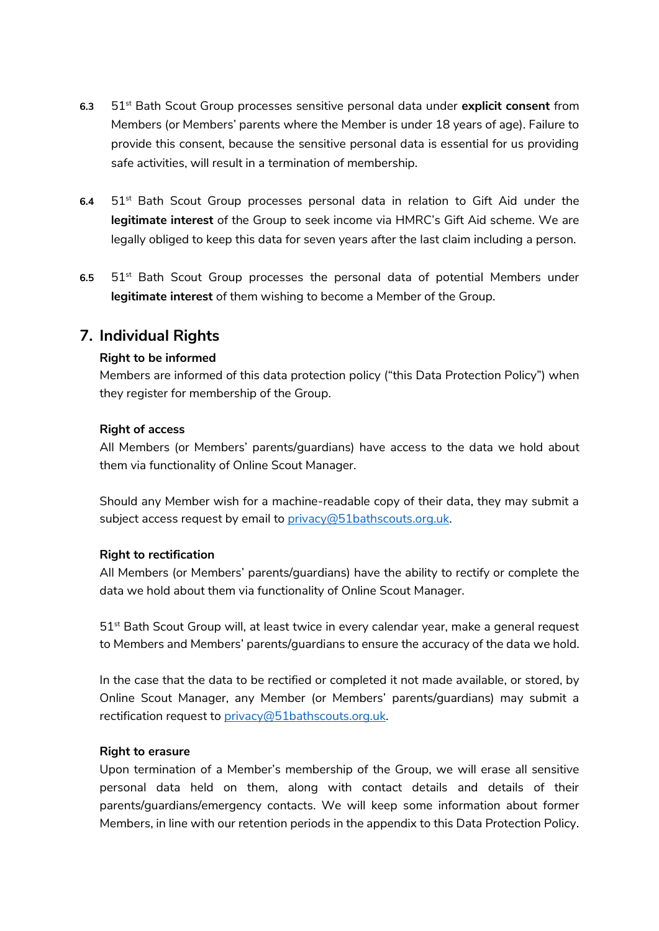- **6.3** 51st Bath Scout Group processes sensitive personal data under **explicit consent** from Members (or Members' parents where the Member is under 18 years of age). Failure to provide this consent, because the sensitive personal data is essential for us providing safe activities, will result in a termination of membership.
- **6.4** 51st Bath Scout Group processes personal data in relation to Gift Aid under the **legitimate interest** of the Group to seek income via HMRC's Gift Aid scheme. We are legally obliged to keep this data for seven years after the last claim including a person.
- **6.5** 51st Bath Scout Group processes the personal data of potential Members under **legitimate interest** of them wishing to become a Member of the Group.

## **7. Individual Rights**

#### **Right to be informed**

Members are informed of this data protection policy ("this Data Protection Policy") when they register for membership of the Group.

#### **Right of access**

All Members (or Members' parents/guardians) have access to the data we hold about them via functionality of Online Scout Manager.

Should any Member wish for a machine-readable copy of their data, they may submit a subject access request by email to [privacy@51bathscouts.org.uk.](mailto:privacy@51bathscouts.org.uk)

#### **Right to rectification**

All Members (or Members' parents/guardians) have the ability to rectify or complete the data we hold about them via functionality of Online Scout Manager.

51st Bath Scout Group will, at least twice in every calendar year, make a general request to Members and Members' parents/guardians to ensure the accuracy of the data we hold.

In the case that the data to be rectified or completed it not made available, or stored, by Online Scout Manager, any Member (or Members' parents/guardians) may submit a rectification request to [privacy@51bathscouts.org.uk.](mailto:privacy@51bathscouts.org.uk)

#### **Right to erasure**

Upon termination of a Member's membership of the Group, we will erase all sensitive personal data held on them, along with contact details and details of their parents/guardians/emergency contacts. We will keep some information about former Members, in line with our retention periods in the appendix to this Data Protection Policy.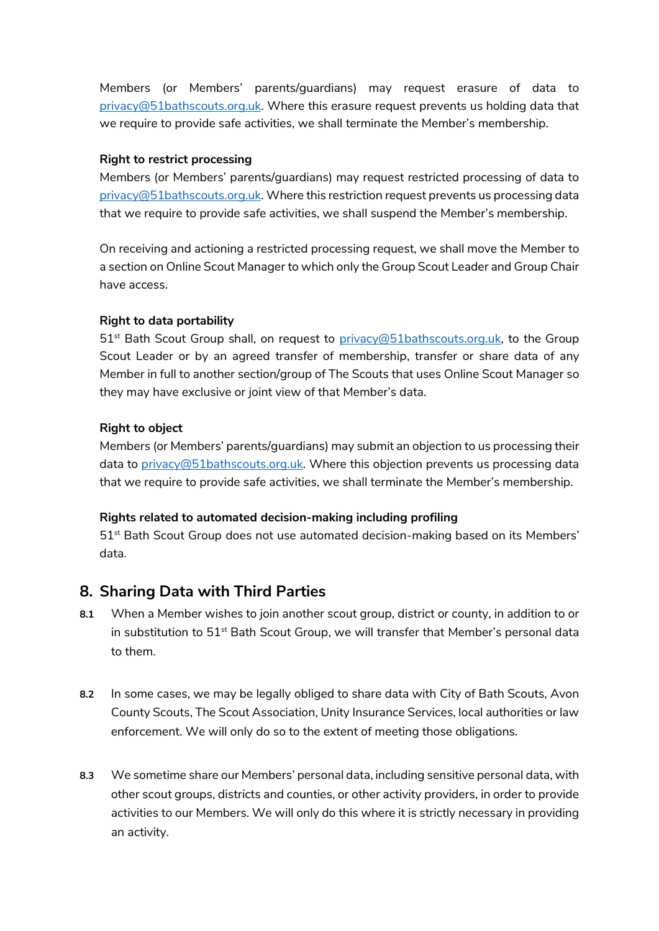Members (or Members' parents/guardians) may request erasure of data to [privacy@51bathscouts.org.uk.](mailto:privacy@51bathscouts.org.uk) Where this erasure request prevents us holding data that we require to provide safe activities, we shall terminate the Member's membership.

#### **Right to restrict processing**

Members (or Members' parents/guardians) may request restricted processing of data to [privacy@51bathscouts.org.uk.](mailto:privacy@51bathscouts.org.uk) Where this restriction request prevents us processing data that we require to provide safe activities, we shall suspend the Member's membership.

On receiving and actioning a restricted processing request, we shall move the Member to a section on Online Scout Manager to which only the Group Scout Leader and Group Chair have access.

#### **Right to data portability**

51<sup>st</sup> Bath Scout Group shall, on request to [privacy@51bathscouts.org.uk,](mailto:privacy@51bathscouts.org.uk) to the Group Scout Leader or by an agreed transfer of membership, transfer or share data of any Member in full to another section/group of The Scouts that uses Online Scout Manager so they may have exclusive or joint view of that Member's data.

#### **Right to object**

Members (or Members' parents/guardians) may submit an objection to us processing their data to  $\frac{\text{prior}(Q51)}{\text{batch}}$  where this objection prevents us processing data that we require to provide safe activities, we shall terminate the Member's membership.

#### **Rights related to automated decision-making including profiling**

 $51<sup>st</sup>$  Bath Scout Group does not use automated decision-making based on its Members' data.

## **8. Sharing Data with Third Parties**

- **8.1** When a Member wishes to join another scout group, district or county, in addition to or in substitution to  $51^{st}$  Bath Scout Group, we will transfer that Member's personal data to them.
- **8.2** In some cases, we may be legally obliged to share data with City of Bath Scouts, Avon County Scouts, The Scout Association, Unity Insurance Services, local authorities or law enforcement. We will only do so to the extent of meeting those obligations.
- **8.3** We sometime share our Members' personal data, including sensitive personal data, with other scout groups, districts and counties, or other activity providers, in order to provide activities to our Members. We will only do this where it is strictly necessary in providing an activity.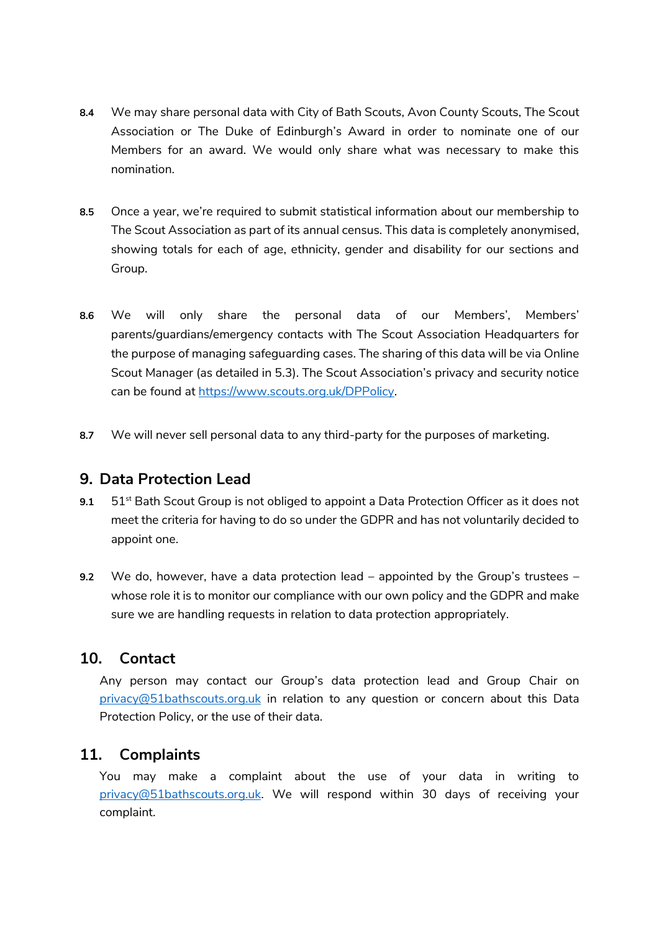- **8.4** We may share personal data with City of Bath Scouts, Avon County Scouts, The Scout Association or The Duke of Edinburgh's Award in order to nominate one of our Members for an award. We would only share what was necessary to make this nomination.
- **8.5** Once a year, we're required to submit statistical information about our membership to The Scout Association as part of its annual census. This data is completely anonymised, showing totals for each of age, ethnicity, gender and disability for our sections and Group.
- **8.6** We will only share the personal data of our Members', Members' parents/guardians/emergency contacts with The Scout Association Headquarters for the purpose of managing safeguarding cases. The sharing of this data will be via Online Scout Manager (as detailed in 5.3). The Scout Association's privacy and security notice can be found at [https://www.scouts.org.uk/DPPolicy.](https://www.scouts.org.uk/DPPolicy)
- **8.7** We will never sell personal data to any third-party for the purposes of marketing.

### **9. Data Protection Lead**

- 9.1 51<sup>st</sup> Bath Scout Group is not obliged to appoint a Data Protection Officer as it does not meet the criteria for having to do so under the GDPR and has not voluntarily decided to appoint one.
- **9.2** We do, however, have a data protection lead appointed by the Group's trustees whose role it is to monitor our compliance with our own policy and the GDPR and make sure we are handling requests in relation to data protection appropriately.

## **10. Contact**

Any person may contact our Group's data protection lead and Group Chair on [privacy@51bathscouts.org.uk](mailto:privacy@51bathscouts.org.uk) in relation to any question or concern about this Data Protection Policy, or the use of their data.

## **11. Complaints**

You may make a complaint about the use of your data in writing to [privacy@51bathscouts.org.uk.](mailto:privacy@51bathscouts.org.uk) We will respond within 30 days of receiving your complaint.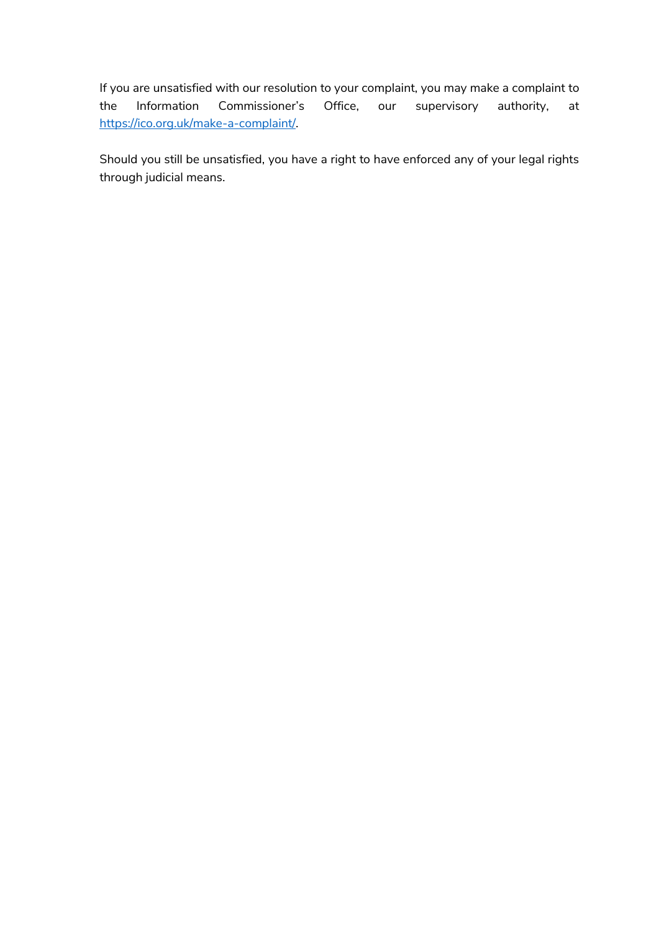If you are unsatisfied with our resolution to your complaint, you may make a complaint to the Information Commissioner's Office, our supervisory authority, at [https://ico.org.uk/make-a-complaint/.](https://ico.org.uk/make-a-complaint/)

Should you still be unsatisfied, you have a right to have enforced any of your legal rights through judicial means.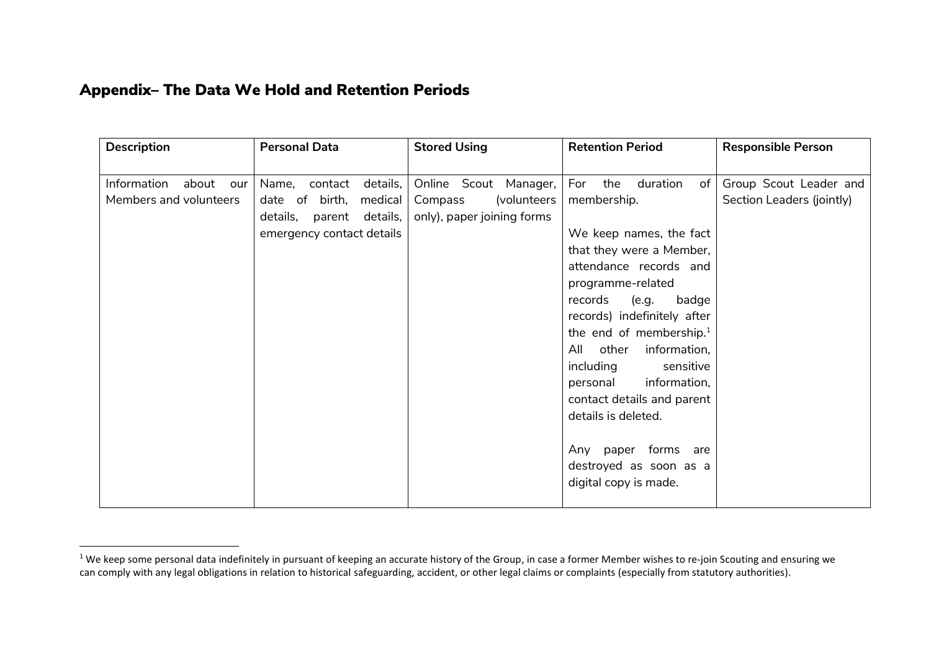# Appendix– The Data We Hold and Retention Periods

| <b>Description</b>                                    | <b>Personal Data</b>                                                                                                     | <b>Stored Using</b>                                                           | <b>Retention Period</b>                                                                                                                                                                                                                                                                                                                                                                                                                                                     | <b>Responsible Person</b>                           |
|-------------------------------------------------------|--------------------------------------------------------------------------------------------------------------------------|-------------------------------------------------------------------------------|-----------------------------------------------------------------------------------------------------------------------------------------------------------------------------------------------------------------------------------------------------------------------------------------------------------------------------------------------------------------------------------------------------------------------------------------------------------------------------|-----------------------------------------------------|
| Information<br>about<br>our<br>Members and volunteers | Name,<br>contact<br>details,<br>date of birth,<br>medical<br>details,<br>details,<br>parent<br>emergency contact details | Online Scout Manager,<br>(volunteers<br>Compass<br>only), paper joining forms | For<br>the<br>duration<br>of l<br>membership.<br>We keep names, the fact<br>that they were a Member,<br>attendance records and<br>programme-related<br>(e.g.<br>records<br>badge<br>records) indefinitely after<br>the end of membership. <sup>1</sup><br>other<br>information,<br>All<br>including<br>sensitive<br>information,<br>personal<br>contact details and parent<br>details is deleted.<br>Any paper forms are<br>destroyed as soon as a<br>digital copy is made. | Group Scout Leader and<br>Section Leaders (jointly) |

<sup>&</sup>lt;sup>1</sup> We keep some personal data indefinitely in pursuant of keeping an accurate history of the Group, in case a former Member wishes to re-join Scouting and ensuring we can comply with any legal obligations in relation to historical safeguarding, accident, or other legal claims or complaints (especially from statutory authorities).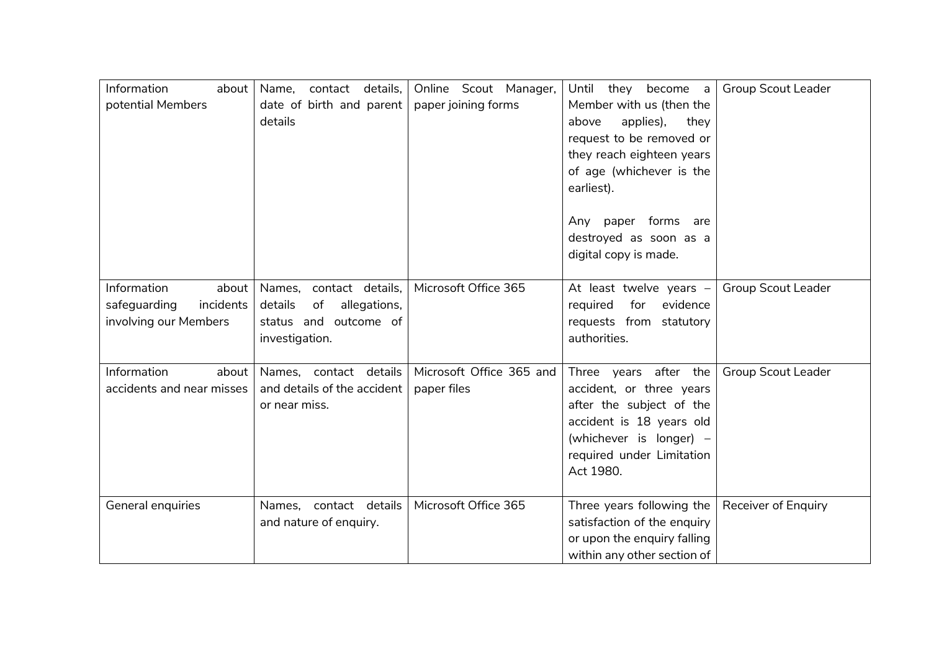| Information<br>about      | Name,<br>contact details,     | Online Scout Manager,    | Until they become a         | <b>Group Scout Leader</b>  |
|---------------------------|-------------------------------|--------------------------|-----------------------------|----------------------------|
| potential Members         | date of birth and parent      | paper joining forms      | Member with us (then the    |                            |
|                           | details                       |                          | applies),<br>above<br>they  |                            |
|                           |                               |                          | request to be removed or    |                            |
|                           |                               |                          | they reach eighteen years   |                            |
|                           |                               |                          | of age (whichever is the    |                            |
|                           |                               |                          |                             |                            |
|                           |                               |                          | earliest).                  |                            |
|                           |                               |                          |                             |                            |
|                           |                               |                          | Any paper forms are         |                            |
|                           |                               |                          | destroyed as soon as a      |                            |
|                           |                               |                          | digital copy is made.       |                            |
|                           |                               |                          |                             |                            |
| Information<br>about      | Names, contact details,       | Microsoft Office 365     | At least twelve years $-$   | <b>Group Scout Leader</b>  |
| safeguarding<br>incidents | details<br>of<br>allegations, |                          | evidence<br>required<br>for |                            |
| involving our Members     | status and outcome of         |                          | requests from statutory     |                            |
|                           | investigation.                |                          | authorities.                |                            |
|                           |                               |                          |                             |                            |
| Information<br>about      | Names, contact details        | Microsoft Office 365 and | Three years after the       | <b>Group Scout Leader</b>  |
| accidents and near misses | and details of the accident   | paper files              | accident, or three years    |                            |
|                           | or near miss.                 |                          | after the subject of the    |                            |
|                           |                               |                          | accident is 18 years old    |                            |
|                           |                               |                          |                             |                            |
|                           |                               |                          | (whichever is longer) -     |                            |
|                           |                               |                          | required under Limitation   |                            |
|                           |                               |                          | Act 1980.                   |                            |
|                           |                               |                          |                             |                            |
| General enquiries         | Names, contact details        | Microsoft Office 365     | Three years following the   | <b>Receiver of Enquiry</b> |
|                           | and nature of enquiry.        |                          | satisfaction of the enquiry |                            |
|                           |                               |                          | or upon the enquiry falling |                            |
|                           |                               |                          | within any other section of |                            |